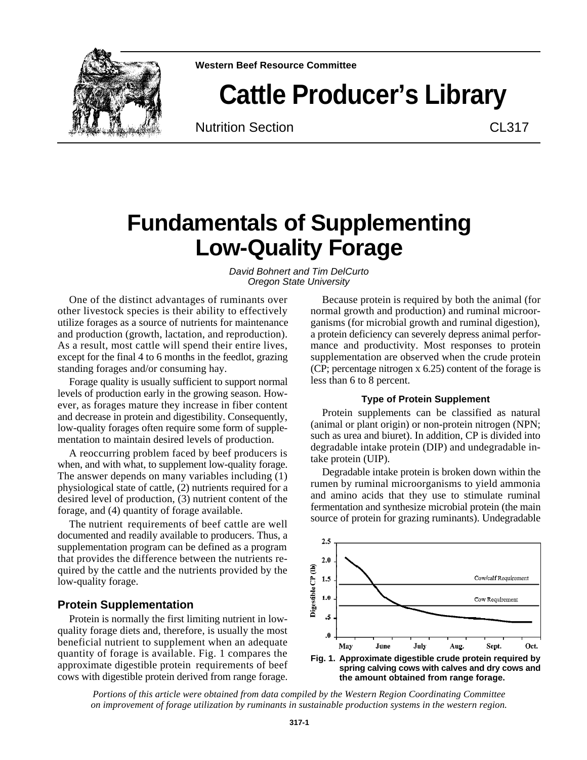

**Western Beef Resource Committee**

# **Cattle Producer's Library**

Nutrition Section **CL317** 

# **Fundamentals of Supplementing Low-Quality Forage**

*David Bohnert and Tim DelCurto Oregon State University*

One of the distinct advantages of ruminants over other livestock species is their ability to effectively utilize forages as a source of nutrients for maintenance and production (growth, lactation, and reproduction). As a result, most cattle will spend their entire lives, except for the final 4 to 6 months in the feedlot, grazing standing forages and/or consuming hay.

Forage quality is usually sufficient to support normal levels of production early in the growing season. However, as forages mature they increase in fiber content and decrease in protein and digestibility. Consequently, low-quality forages often require some form of supplementation to maintain desired levels of production.

A reoccurring problem faced by beef producers is when, and with what, to supplement low-quality forage. The answer depends on many variables including (1) physiological state of cattle, (2) nutrients required for a desired level of production, (3) nutrient content of the forage, and (4) quantity of forage available.

The nutrient requirements of beef cattle are well documented and readily available to producers. Thus, a supplementation program can be defined as a program that provides the difference between the nutrients required by the cattle and the nutrients provided by the low-quality forage.

# **Protein Supplementation**

Protein is normally the first limiting nutrient in lowquality forage diets and, therefore, is usually the most beneficial nutrient to supplement when an adequate quantity of forage is available. Fig. 1 compares the approximate digestible protein requirements of beef cows with digestible protein derived from range forage.

Because protein is required by both the animal (for normal growth and production) and ruminal microorganisms (for microbial growth and ruminal digestion), a protein deficiency can severely depress animal performance and productivity. Most responses to protein supplementation are observed when the crude protein (CP; percentage nitrogen x 6.25) content of the forage is less than 6 to 8 percent.

#### **Type of Protein Supplement**

Protein supplements can be classified as natural (animal or plant origin) or non-protein nitrogen (NPN; such as urea and biuret). In addition, CP is divided into degradable intake protein (DIP) and undegradable intake protein (UIP).

Degradable intake protein is broken down within the rumen by ruminal microorganisms to yield ammonia and amino acids that they use to stimulate ruminal fermentation and synthesize microbial protein (the main source of protein for grazing ruminants). Undegradable



*Portions of this article were obtained from data compiled by the Western Region Coordinating Committee on improvement of forage utilization by ruminants in sustainable production systems in the western region.*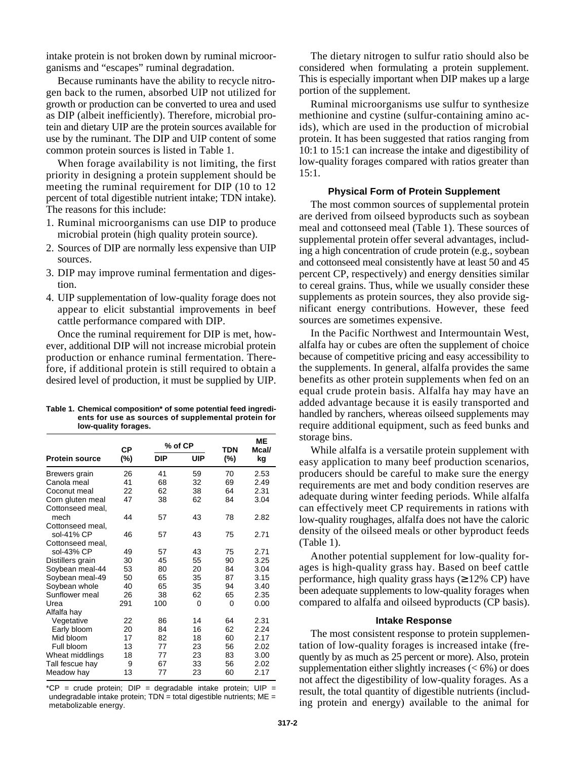intake protein is not broken down by ruminal microorganisms and "escapes" ruminal degradation.

Because ruminants have the ability to recycle nitrogen back to the rumen, absorbed UIP not utilized for growth or production can be converted to urea and used as DIP (albeit inefficiently). Therefore, microbial protein and dietary UIP are the protein sources available for use by the ruminant. The DIP and UIP content of some common protein sources is listed in Table 1.

When forage availability is not limiting, the first priority in designing a protein supplement should be meeting the ruminal requirement for DIP (10 to 12 percent of total digestible nutrient intake; TDN intake). The reasons for this include:

- 1. Ruminal microorganisms can use DIP to produce microbial protein (high quality protein source).
- 2. Sources of DIP are normally less expensive than UIP sources.
- 3. DIP may improve ruminal fermentation and digestion.
- 4. UIP supplementation of low-quality forage does not appear to elicit substantial improvements in beef cattle performance compared with DIP.

Once the ruminal requirement for DIP is met, however, additional DIP will not increase microbial protein production or enhance ruminal fermentation. Therefore, if additional protein is still required to obtain a desired level of production, it must be supplied by UIP.

**Table 1. Chemical composition\* of some potential feed ingredients for use as sources of supplemental protein for low-quality forages.**

|                       | СP  | % of CP    |     | <b>TDN</b> | ME<br>Mcal/ |
|-----------------------|-----|------------|-----|------------|-------------|
| <b>Protein source</b> | (%) | <b>DIP</b> | UIP | (%)        | kg          |
| Brewers grain         | 26  | 41         | 59  | 70         | 2.53        |
| Canola meal           | 41  | 68         | 32  | 69         | 2.49        |
| Coconut meal          | 22  | 62         | 38  | 64         | 2.31        |
| Corn gluten meal      | 47  | 38         | 62  | 84         | 3.04        |
| Cottonseed meal,      |     |            |     |            |             |
| mech                  | 44  | 57         | 43  | 78         | 2.82        |
| Cottonseed meal,      |     |            |     |            |             |
| sol-41% CP            | 46  | 57         | 43  | 75         | 2.71        |
| Cottonseed meal,      |     |            |     |            |             |
| sol-43% CP            | 49  | 57         | 43  | 75         | 2.71        |
| Distillers grain      | 30  | 45         | 55  | 90         | 3.25        |
| Soybean meal-44       | 53  | 80         | 20  | 84         | 3.04        |
| Soybean meal-49       | 50  | 65         | 35  | 87         | 3.15        |
| Soybean whole         | 40  | 65         | 35  | 94         | 3.40        |
| Sunflower meal        | 26  | 38         | 62  | 65         | 2.35        |
| Urea                  | 291 | 100        | 0   | 0          | 0.00        |
| Alfalfa hay           |     |            |     |            |             |
| Vegetative            | 22  | 86         | 14  | 64         | 2.31        |
| Early bloom           | 20  | 84         | 16  | 62         | 2.24        |
| Mid bloom             | 17  | 82         | 18  | 60         | 2.17        |
| Full bloom            | 13  | 77         | 23  | 56         | 2.02        |
| Wheat middlings       | 18  | 77         | 23  | 83         | 3.00        |
| Tall fescue hay       | 9   | 67         | 33  | 56         | 2.02        |
| Meadow hay            | 13  | 77         | 23  | 60         | 2.17        |

\*CP = crude protein;  $DIP$  = degradable intake protein;  $UIP$  = undegradable intake protein;  $TDN =$  total digestible nutrients;  $ME =$ metabolizable energy.

The dietary nitrogen to sulfur ratio should also be considered when formulating a protein supplement. This is especially important when DIP makes up a large portion of the supplement.

Ruminal microorganisms use sulfur to synthesize methionine and cystine (sulfur-containing amino acids), which are used in the production of microbial protein. It has been suggested that ratios ranging from 10:1 to 15:1 can increase the intake and digestibility of low-quality forages compared with ratios greater than 15:1.

#### **Physical Form of Protein Supplement**

The most common sources of supplemental protein are derived from oilseed byproducts such as soybean meal and cottonseed meal (Table 1). These sources of supplemental protein offer several advantages, including a high concentration of crude protein (e.g., soybean and cottonseed meal consistently have at least 50 and 45 percent CP, respectively) and energy densities similar to cereal grains. Thus, while we usually consider these supplements as protein sources, they also provide significant energy contributions. However, these feed sources are sometimes expensive.

In the Pacific Northwest and Intermountain West, alfalfa hay or cubes are often the supplement of choice because of competitive pricing and easy accessibility to the supplements. In general, alfalfa provides the same benefits as other protein supplements when fed on an equal crude protein basis. Alfalfa hay may have an added advantage because it is easily transported and handled by ranchers, whereas oilseed supplements may require additional equipment, such as feed bunks and storage bins.

While alfalfa is a versatile protein supplement with easy application to many beef production scenarios, producers should be careful to make sure the energy requirements are met and body condition reserves are adequate during winter feeding periods. While alfalfa can effectively meet CP requirements in rations with low-quality roughages, alfalfa does not have the caloric density of the oilseed meals or other byproduct feeds (Table 1).

Another potential supplement for low-quality forages is high-quality grass hay. Based on beef cattle performance, high quality grass hays ( 12% CP) have been adequate supplements to low-quality forages when compared to alfalfa and oilseed byproducts (CP basis).

#### **Intake Response**

The most consistent response to protein supplementation of low-quality forages is increased intake (frequently by as much as 25 percent or more). Also, protein supplementation either slightly increases  $(< 6\%)$  or does not affect the digestibility of low-quality forages. As a result, the total quantity of digestible nutrients (including protein and energy) available to the animal for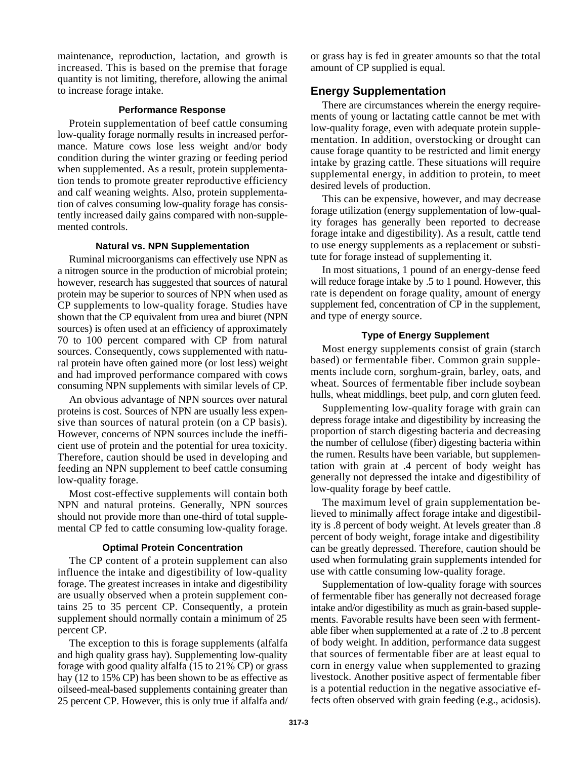maintenance, reproduction, lactation, and growth is increased. This is based on the premise that forage quantity is not limiting, therefore, allowing the animal to increase forage intake.

#### **Performance Response**

Protein supplementation of beef cattle consuming low-quality forage normally results in increased performance. Mature cows lose less weight and/or body condition during the winter grazing or feeding period when supplemented. As a result, protein supplementation tends to promote greater reproductive efficiency and calf weaning weights. Also, protein supplementation of calves consuming low-quality forage has consistently increased daily gains compared with non-supplemented controls.

#### **Natural vs. NPN Supplementation**

Ruminal microorganisms can effectively use NPN as a nitrogen source in the production of microbial protein; however, research has suggested that sources of natural protein may be superior to sources of NPN when used as CP supplements to low-quality forage. Studies have shown that the CP equivalent from urea and biuret (NPN sources) is often used at an efficiency of approximately 70 to 100 percent compared with CP from natural sources. Consequently, cows supplemented with natural protein have often gained more (or lost less) weight and had improved performance compared with cows consuming NPN supplements with similar levels of CP.

An obvious advantage of NPN sources over natural proteins is cost. Sources of NPN are usually less expensive than sources of natural protein (on a CP basis). However, concerns of NPN sources include the inefficient use of protein and the potential for urea toxicity. Therefore, caution should be used in developing and feeding an NPN supplement to beef cattle consuming low-quality forage.

Most cost-effective supplements will contain both NPN and natural proteins. Generally, NPN sources should not provide more than one-third of total supplemental CP fed to cattle consuming low-quality forage.

#### **Optimal Protein Concentration**

The CP content of a protein supplement can also influence the intake and digestibility of low-quality forage. The greatest increases in intake and digestibility are usually observed when a protein supplement contains 25 to 35 percent CP. Consequently, a protein supplement should normally contain a minimum of 25 percent CP.

The exception to this is forage supplements (alfalfa and high quality grass hay). Supplementing low-quality forage with good quality alfalfa (15 to 21% CP) or grass hay (12 to 15% CP) has been shown to be as effective as oilseed-meal-based supplements containing greater than 25 percent CP. However, this is only true if alfalfa and/

or grass hay is fed in greater amounts so that the total amount of CP supplied is equal.

# **Energy Supplementation**

There are circumstances wherein the energy requirements of young or lactating cattle cannot be met with low-quality forage, even with adequate protein supplementation. In addition, overstocking or drought can cause forage quantity to be restricted and limit energy intake by grazing cattle. These situations will require supplemental energy, in addition to protein, to meet desired levels of production.

This can be expensive, however, and may decrease forage utilization (energy supplementation of low-quality forages has generally been reported to decrease forage intake and digestibility). As a result, cattle tend to use energy supplements as a replacement or substitute for forage instead of supplementing it.

In most situations, 1 pound of an energy-dense feed will reduce forage intake by .5 to 1 pound. However, this rate is dependent on forage quality, amount of energy supplement fed, concentration of CP in the supplement, and type of energy source.

### **Type of Energy Supplement**

Most energy supplements consist of grain (starch based) or fermentable fiber. Common grain supplements include corn, sorghum-grain, barley, oats, and wheat. Sources of fermentable fiber include soybean hulls, wheat middlings, beet pulp, and corn gluten feed.

Supplementing low-quality forage with grain can depress forage intake and digestibility by increasing the proportion of starch digesting bacteria and decreasing the number of cellulose (fiber) digesting bacteria within the rumen. Results have been variable, but supplementation with grain at .4 percent of body weight has generally not depressed the intake and digestibility of low-quality forage by beef cattle.

The maximum level of grain supplementation believed to minimally affect forage intake and digestibility is .8 percent of body weight. At levels greater than .8 percent of body weight, forage intake and digestibility can be greatly depressed. Therefore, caution should be used when formulating grain supplements intended for use with cattle consuming low-quality forage.

Supplementation of low-quality forage with sources of fermentable fiber has generally not decreased forage intake and/or digestibility as much as grain-based supplements. Favorable results have been seen with fermentable fiber when supplemented at a rate of .2 to .8 percent of body weight. In addition, performance data suggest that sources of fermentable fiber are at least equal to corn in energy value when supplemented to grazing livestock. Another positive aspect of fermentable fiber is a potential reduction in the negative associative effects often observed with grain feeding (e.g., acidosis).